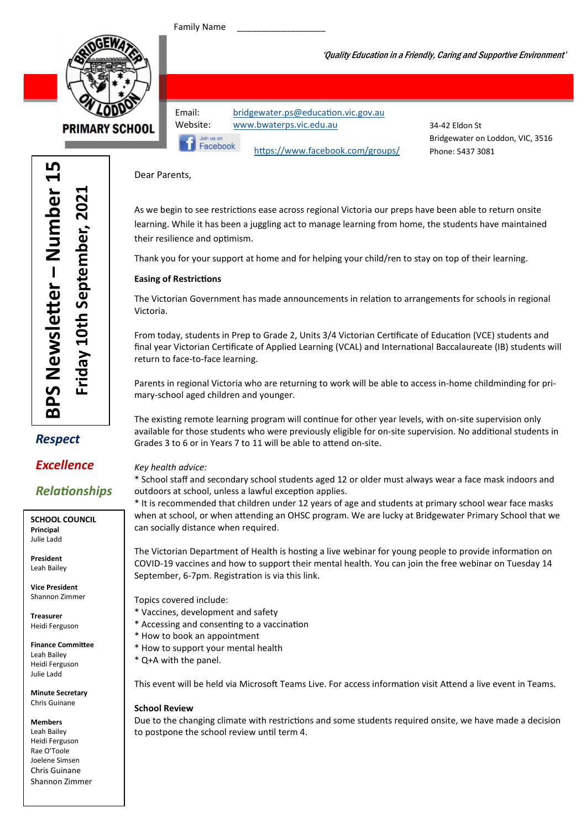Family Name

Facebook



**PRIMARY SCHOOL** 

Email: bridgewater.ps@education.vic.gov.au Website: www.bwaterps.vic.edu.au

34-42 Eldon St Bridgewater on Loddon, VIC, 3516 Phone: 5437 3081

'Quality Education in a Friendly, Caring and Supportive Environment'

Dear Parents,

As we begin to see restrictions ease across regional Victoria our preps have been able to return onsite learning. While it has been a juggling act to manage learning from home, the students have maintained their resilience and optimism.

Thank you for your support at home and for helping your child/ren to stay on top of their learning.

https://www.facebook.com/groups/

#### **Easing of Restrictions**

The Victorian Government has made announcements in relation to arrangements for schools in regional Victoria.

From today, students in Prep to Grade 2, Units 3/4 Victorian Certificate of Education (VCE) students and final year Victorian Certificate of Applied Learning (VCAL) and International Baccalaureate (IB) students will return to face-to-face learning.

Parents in regional Victoria who are returning to work will be able to access in-home childminding for primary-school aged children and younger.

The existing remote learning program will continue for other year levels, with on-site supervision only available for those students who were previously eligible for on-site supervision. No additional students in Grades 3 to 6 or in Years 7 to 11 will be able to attend on-site.

#### Key health advice:

\* School staff and secondary school students aged 12 or older must always wear a face mask indoors and outdoors at school, unless a lawful exception applies.

\* It is recommended that children under 12 years of age and students at primary school wear face masks when at school, or when attending an OHSC program. We are lucky at Bridgewater Primary School that we can socially distance when required.

The Victorian Department of Health is hosting a live webinar for young people to provide information on COVID-19 vaccines and how to support their mental health. You can join the free webinar on Tuesday 14 September, 6-7pm. Registration is via this link.

Topics covered include:

- \* Vaccines, development and safety
- \* Accessing and consenting to a vaccination
- \* How to book an appointment
- \* How to support your mental health
- \* Q+A with the panel.

This event will be held via Microsoft Teams Live. For access information visit Attend a live event in Teams.

#### School Review

Due to the changing climate with restrictions and some students required onsite, we have made a decision to postpone the school review until term 4.

## Respect

### Excellence

## **Relationships**

SCHOOL COUNCIL Principal Julie Ladd

President Leah Bailey

Vice President Shannon Zimmer

Treasurer Heidi Ferguson

Finance Committee Leah Bailey Heidi Ferguson Julie Ladd

Minute Secretary Chris Guinane

Members

Leah Bailey Heidi Ferguson Rae O'Toole Joelene Simsen Chris Guinane Shannon Zimmer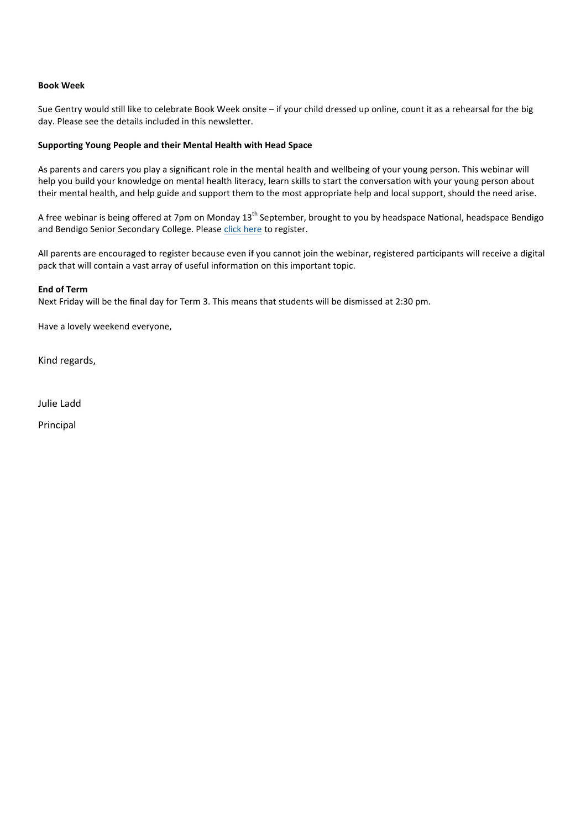#### Book Week

Sue Gentry would still like to celebrate Book Week onsite – if your child dressed up online, count it as a rehearsal for the big day. Please see the details included in this newsletter.

#### Supporting Young People and their Mental Health with Head Space

As parents and carers you play a significant role in the mental health and wellbeing of your young person. This webinar will help you build your knowledge on mental health literacy, learn skills to start the conversation with your young person about their mental health, and help guide and support them to the most appropriate help and local support, should the need arise.

A free webinar is being offered at 7pm on Monday  $13<sup>th</sup>$  September, brought to you by headspace National, headspace Bendigo and Bendigo Senior Secondary College. Please click here to register.

All parents are encouraged to register because even if you cannot join the webinar, registered participants will receive a digital pack that will contain a vast array of useful information on this important topic.

#### End of Term

Next Friday will be the final day for Term 3. This means that students will be dismissed at 2:30 pm.

Have a lovely weekend everyone,

Kind regards,

Julie Ladd

Principal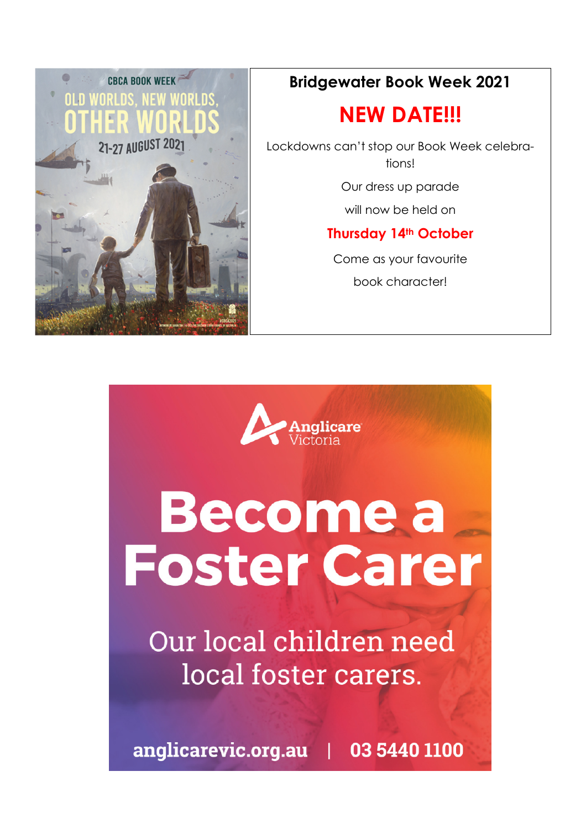

## Bridgewater Book Week 2021

# NEW DATE!!!

Lockdowns can't stop our Book Week celebrations!

Our dress up parade

will now be held on

## Thursday 14th October

Come as your favourite book character!



# **Become a Foster Carer**

Our local children need local foster carers.

anglicarevic.org.au | 03 5440 1100